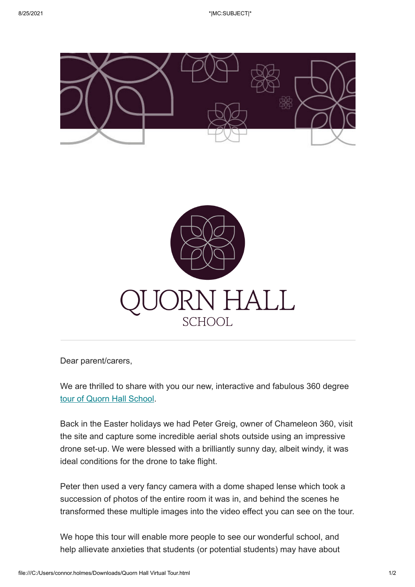



Dear parent/carers,

We are thrilled to share with you our new, interactive and fabulous 360 degree [tour of Quorn Hall School](https://www.quornhallschool.com/virtualtour).

Back in the Easter holidays we had Peter Greig, owner of Chameleon 360, visit the site and capture some incredible aerial shots outside using an impressive drone set-up. We were blessed with a brilliantly sunny day, albeit windy, it was ideal conditions for the drone to take flight.

Peter then used a very fancy camera with a dome shaped lense which took a succession of photos of the entire room it was in, and behind the scenes he transformed these multiple images into the video effect you can see on the tour.

We hope this tour will enable more people to see our wonderful school, and help allievate anxieties that students (or potential students) may have about